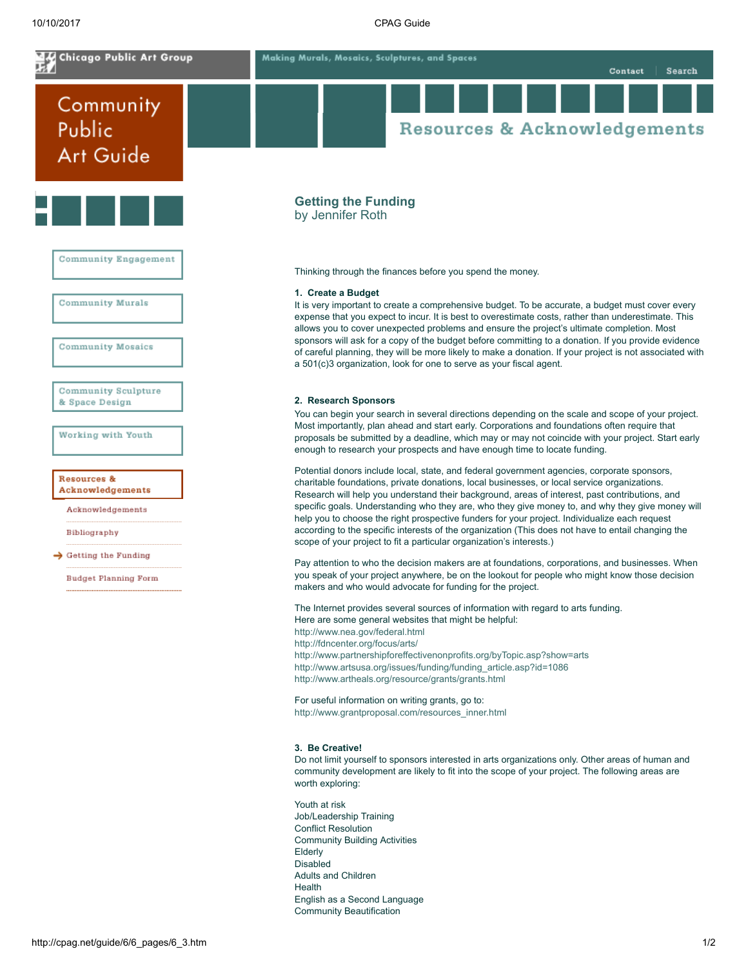<span id="page-0-0"></span>

Adults and Children

English as a Second Language Community Beautification

Health